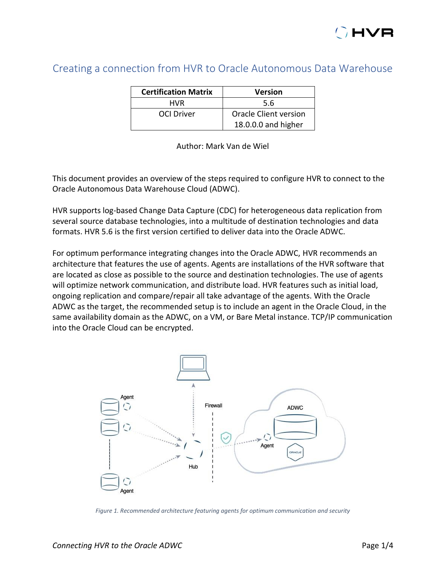## Creating a connection from HVR to Oracle Autonomous Data Warehouse

| <b>Certification Matrix</b> | <b>Version</b>        |  |  |  |  |
|-----------------------------|-----------------------|--|--|--|--|
| <b>HVR</b>                  | 5.6                   |  |  |  |  |
| OCI Driver                  | Oracle Client version |  |  |  |  |
|                             | 18.0.0.0 and higher   |  |  |  |  |

Author: Mark Van de Wiel

This document provides an overview of the steps required to configure HVR to connect to the Oracle Autonomous Data Warehouse Cloud (ADWC).

HVR supports log-based Change Data Capture (CDC) for heterogeneous data replication from several source database technologies, into a multitude of destination technologies and data formats. HVR 5.6 is the first version certified to deliver data into the Oracle ADWC.

For optimum performance integrating changes into the Oracle ADWC, HVR recommends an architecture that features the use of agents. Agents are installations of the HVR software that are located as close as possible to the source and destination technologies. The use of agents will optimize network communication, and distribute load. HVR features such as initial load, ongoing replication and compare/repair all take advantage of the agents. With the Oracle ADWC as the target, the recommended setup is to include an agent in the Oracle Cloud, in the same availability domain as the ADWC, on a VM, or Bare Metal instance. TCP/IP communication into the Oracle Cloud can be encrypted.



*Figure 1. Recommended architecture featuring agents for optimum communication and security*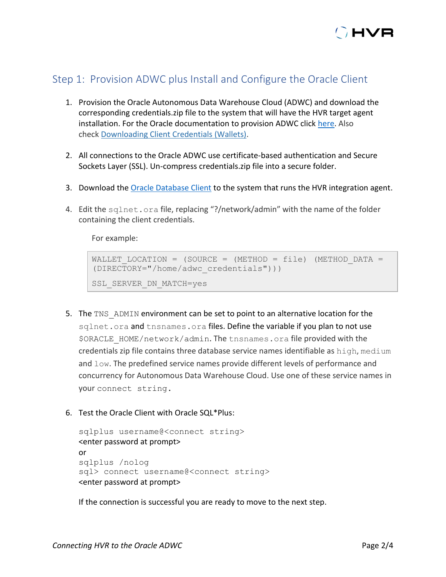

## Step 1: Provision ADWC plus Install and Configure the Oracle Client

- 1. Provision the Oracle Autonomous Data Warehouse Cloud (ADWC) and download the corresponding credentials.zip file to the system that will have the HVR target agent installation. For the Oracle documentation to provision ADWC click [here.](https://www.oracle.com/webfolder/technetwork/tutorials/obe/cloud/adwc/OBE_Provisioning_Autonomous_Data_Warehouse_Cloud_bak/provisioning_autonomous_data_warehouse_cloud_v2.html) Also check [Downloading Client Credentials \(Wallets\).](https://docs.oracle.com/en/cloud/paas/autonomous-data-warehouse-cloud/user/connect-download-wallet.html)
- 2. All connections to the Oracle ADWC use certificate-based authentication and Secure Sockets Layer (SSL). Un-compress credentials.zip file into a secure folder.
- 3. Download the [Oracle Database Client](https://www.oracle.com/technetwork/database/enterprise-edition/downloads/index.html) to the system that runs the HVR integration agent.
- 4. Edit the sqlnet.ora file, replacing "?/network/admin" with the name of the folder containing the client credentials.

For example:

```
WALLET LOCATION = (SOURCE = (METHOD = file) (METHOD DATA =
(DIRECTORY="/home/adwc_credentials")))
SSL SERVER DN MATCH=yes
```
- 5. The TNS ADMIN environment can be set to point to an alternative location for the sqlnet.ora and thsnames.ora files. Define the variable if you plan to not use \$ORACLE\_HOME/network/admin. The tnsnames.ora file provided with the credentials zip file contains three database service names identifiable as high, medium and low. The predefined service names provide different levels of performance and concurrency for Autonomous Data Warehouse Cloud. Use one of these service names in your connect string.
- 6. Test the Oracle Client with Oracle SQL\*Plus:

```
sqlplus username@<connect string>
<enter password at prompt>
or
sqlplus /nolog
sql> connect username@<connect string>
<enter password at prompt>
```
If the connection is successful you are ready to move to the next step.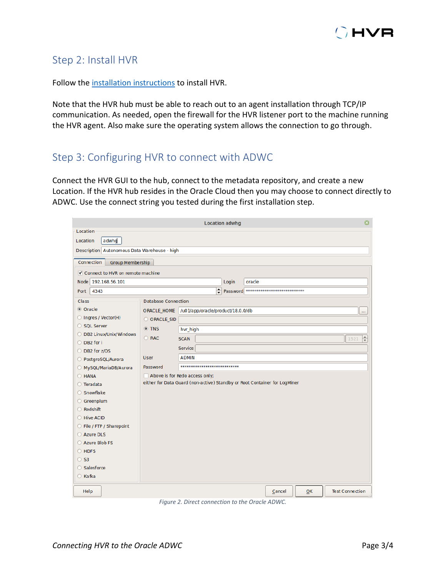

## Step 2: Install HVR

Follow the [installation instructions](https://www.hvr-software.com/docs/installing-and-upgrading-hvr) to install HVR.

Note that the HVR hub must be able to reach out to an agent installation through TCP/IP communication. As needed, open the firewall for the HVR listener port to the machine running the HVR agent. Also make sure the operating system allows the connection to go through.

## Step 3: Configuring HVR to connect with ADWC

Connect the HVR GUI to the hub, connect to the metadata repository, and create a new Location. If the HVR hub resides in the Oracle Cloud then you may choose to connect directly to ADWC. Use the connect string you tested during the first installation step.

| $\boldsymbol{\Omega}$<br><b>Location adwhg</b> |                                              |                                                                           |       |        |                                        |    |                        |
|------------------------------------------------|----------------------------------------------|---------------------------------------------------------------------------|-------|--------|----------------------------------------|----|------------------------|
| Location                                       |                                              |                                                                           |       |        |                                        |    |                        |
| adwhg<br>Location                              |                                              |                                                                           |       |        |                                        |    |                        |
|                                                | Description Autonomous Data Warehouse - high |                                                                           |       |        |                                        |    |                        |
| Connection                                     | <b>Group Membership</b>                      |                                                                           |       |        |                                        |    |                        |
| ✔ Connect to HVR on remote machine             |                                              |                                                                           |       |        |                                        |    |                        |
| Node 192.168.56.101                            |                                              |                                                                           | Login | oracle |                                        |    |                        |
| 4343<br>Port                                   |                                              | ≑                                                                         |       |        | Password ***************************** |    |                        |
| Class                                          | Database Connection                          |                                                                           |       |        |                                        |    |                        |
| C Oracle                                       | <b>ORACLE HOME</b>                           | /u01/app/oracle/product/18.0.0/db                                         |       |        |                                        |    |                        |
| O Ingres / Vector(H)                           | O ORACLE SID                                 |                                                                           |       |        |                                        |    |                        |
| ○ SQL Server                                   | O TNS                                        | hvr_high                                                                  |       |        |                                        |    |                        |
| O DB2 Linux/Unix/Windows                       | O RAC                                        | <b>SCAN</b>                                                               |       |        |                                        |    | ╞<br>1521              |
| ○ DB2 for i                                    |                                              |                                                                           |       |        |                                        |    |                        |
| ◯ DB2 for z/OS                                 |                                              | <b>Service</b>                                                            |       |        |                                        |    |                        |
| O PostgreSQL/Aurora                            | <b>User</b>                                  | <b>ADMIN</b>                                                              |       |        |                                        |    |                        |
| MySQL/MariaDB/Aurora                           | Password                                     | ******************************                                            |       |        |                                        |    |                        |
| $O$ HANA                                       |                                              | Above is for Redo access only;                                            |       |        |                                        |    |                        |
| ◯ Teradata                                     |                                              | either for Data Guard (non-active) Standby or Root Container for LogMiner |       |        |                                        |    |                        |
| ○ Snowflake                                    |                                              |                                                                           |       |        |                                        |    |                        |
| ○ Greenplum                                    |                                              |                                                                           |       |        |                                        |    |                        |
| ◯ Redshift                                     |                                              |                                                                           |       |        |                                        |    |                        |
| C Hive ACID                                    |                                              |                                                                           |       |        |                                        |    |                        |
| ◯ File / FTP / Sharepoint                      |                                              |                                                                           |       |        |                                        |    |                        |
| ○ Azure DLS                                    |                                              |                                                                           |       |        |                                        |    |                        |
| Azure Blob FS                                  |                                              |                                                                           |       |        |                                        |    |                        |
| $O$ HDFS                                       |                                              |                                                                           |       |        |                                        |    |                        |
| $\circ$ S3                                     |                                              |                                                                           |       |        |                                        |    |                        |
| ○ Salesforce                                   |                                              |                                                                           |       |        |                                        |    |                        |
| ○ Kafka                                        |                                              |                                                                           |       |        |                                        |    |                        |
| Help                                           |                                              |                                                                           |       |        | Cancel                                 | OK | <b>Test Connection</b> |
|                                                |                                              | $F_{\text{GUPA}}$ 2. Direct connection to the Oracle ADIMC                |       |        |                                        |    |                        |

*Figure 2. Direct connection to the Oracle ADWC.*